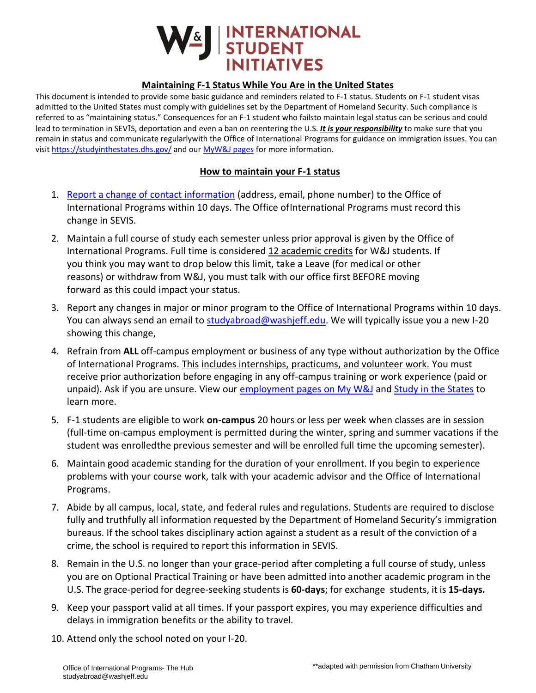

## **Maintaining F-1 Status While You Are in the United States**

This document is intended to provide some basic guidance and reminders related to F-1 status. Students on F-1 student visas admitted to the United States must comply with guidelines set by the Department of Homeland Security. Such compliance is referred to as "maintaining status." Consequences for an F-1 student who failsto maintain legal status can be serious and could lead to termination in SEVIS, deportation and even a ban on reentering the U.S. *It is your responsibility* to make sure that you remain in status and communicate regularlywith the Office of International Programs for guidance on immigration issues. You can visit<https://studyinthestates.dhs.gov/> and our [MyW&J pages](https://mywj.washjeff.edu/page/maintaining-your-f-1-status/office/international-student-initiatives) for more information.

## **How to maintain your F-1 status**

- 1. Report a change of [contact information](https://washjeff.qualtrics.com/jfe/form/SV_beFg7TmWFRaIuQC) (address, email, phone number) to the Office of International Programs within 10 days. The Office ofInternational Programs must record this change in SEVIS.
- 2. Maintain a full course of study each semester unless prior approval is given by the Office of International Programs. Full time is considered 12 academic credits for W&J students. If you think you may want to drop below this limit, take a Leave (for medical or other reasons) or withdraw from W&J, you must talk with our office first BEFORE moving forward as this could impact your status.
- 3. Report any changes in major or minor program to the Office of International Programs within 10 days. You can always send an email to [studyabroad@washjeff.edu.](mailto:studyabroad@washjeff.edu) We will typically issue you a new I-20 showing this change,
- 4. Refrain from **ALL** off-campus employment or business of any type without authorization by the Office of International Programs. This includes internships, practicums, and volunteer work. You must receive prior authorization before engaging in any off-campus training or work experience (paid or unpaid). Ask if you are unsure. View our [employment pages](https://mywj.washjeff.edu/page/employment-for-f-1-visa-holders/office/international-student-initiatives) on My W&J and [Study in the States](https://studyinthestates.dhs.gov/students/training-opportunities-in-the-united-states) to learn more.
- 5. F-1 students are eligible to work **on-campus** 20 hours or less per week when classes are in session (full-time on-campus employment is permitted during the winter, spring and summer vacations if the student was enrolledthe previous semester and will be enrolled full time the upcoming semester).
- 6. Maintain good academic standing for the duration of your enrollment. If you begin to experience problems with your course work, talk with your academic advisor and the Office of International Programs.
- 7. Abide by all campus, local, state, and federal rules and regulations. Students are required to disclose fully and truthfully all information requested by the Department of Homeland Security's immigration bureaus. If the school takes disciplinary action against a student as a result of the conviction of a crime, the school is required to report this information in SEVIS.
- 8. Remain in the U.S. no longer than your grace-period after completing a full course of study, unless you are on Optional Practical Training or have been admitted into another academic program in the U.S. The grace-period for degree-seeking students is **60-days**; for exchange students, it is **15-days.**
- 9. Keep your passport valid at all times. If your passport expires, you may experience difficulties and delays in immigration benefits or the ability to travel.
- 10. Attend only the school noted on your I-20.